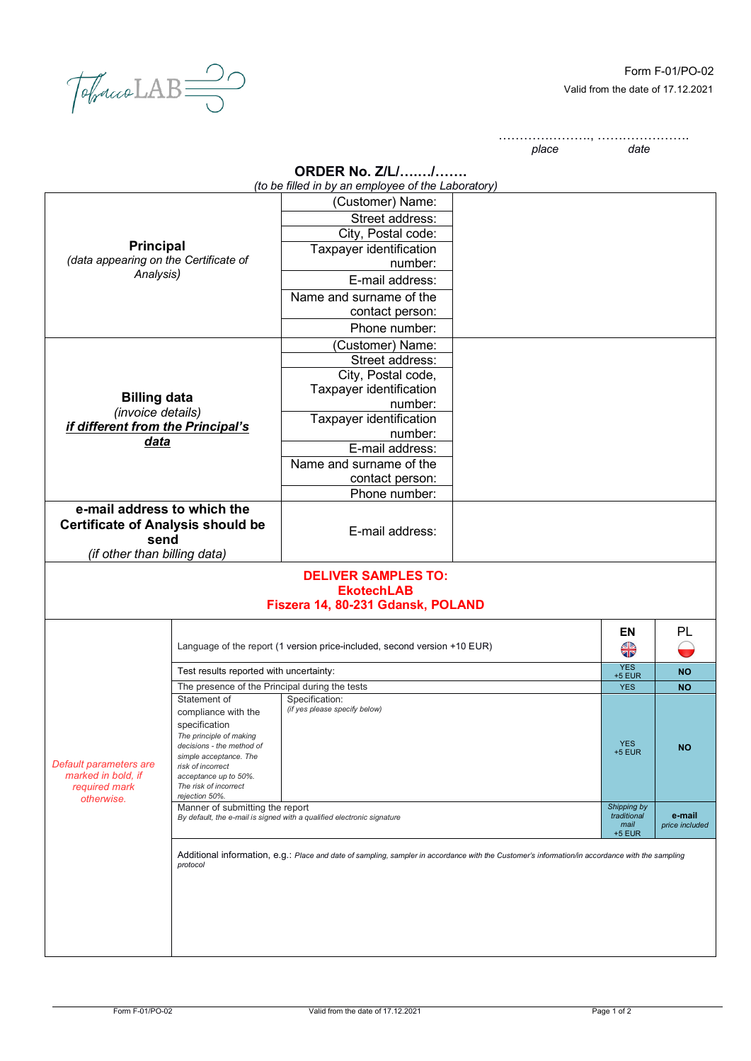$\sqrt{d_{\text{pucob}}\text{LAB}}$ 

…………………., …………………. *place* 

| <b>ORDER No. Z/L//</b> |  |  |
|------------------------|--|--|
|                        |  |  |

|                                                                                                                                                     |                                                                                                           | <b>ORDER No. Z/L//</b>                                                                                                                          |  |                  |                |
|-----------------------------------------------------------------------------------------------------------------------------------------------------|-----------------------------------------------------------------------------------------------------------|-------------------------------------------------------------------------------------------------------------------------------------------------|--|------------------|----------------|
|                                                                                                                                                     |                                                                                                           | (to be filled in by an employee of the Laboratory)                                                                                              |  |                  |                |
| <b>Principal</b>                                                                                                                                    |                                                                                                           | (Customer) Name:                                                                                                                                |  |                  |                |
|                                                                                                                                                     |                                                                                                           | Street address:                                                                                                                                 |  |                  |                |
|                                                                                                                                                     |                                                                                                           | City, Postal code:                                                                                                                              |  |                  |                |
|                                                                                                                                                     |                                                                                                           | Taxpayer identification                                                                                                                         |  |                  |                |
| (data appearing on the Certificate of                                                                                                               |                                                                                                           | number:                                                                                                                                         |  |                  |                |
| Analysis)                                                                                                                                           |                                                                                                           | E-mail address:                                                                                                                                 |  |                  |                |
|                                                                                                                                                     |                                                                                                           | Name and surname of the                                                                                                                         |  |                  |                |
|                                                                                                                                                     |                                                                                                           | contact person:                                                                                                                                 |  |                  |                |
|                                                                                                                                                     |                                                                                                           | Phone number:                                                                                                                                   |  |                  |                |
|                                                                                                                                                     |                                                                                                           | (Customer) Name:                                                                                                                                |  |                  |                |
|                                                                                                                                                     |                                                                                                           | Street address:                                                                                                                                 |  |                  |                |
|                                                                                                                                                     |                                                                                                           | City, Postal code,                                                                                                                              |  |                  |                |
|                                                                                                                                                     |                                                                                                           | Taxpayer identification                                                                                                                         |  |                  |                |
| <b>Billing data</b>                                                                                                                                 |                                                                                                           | number:                                                                                                                                         |  |                  |                |
| (invoice details)                                                                                                                                   |                                                                                                           | Taxpayer identification                                                                                                                         |  |                  |                |
| if different from the Principal's                                                                                                                   |                                                                                                           | number:                                                                                                                                         |  |                  |                |
| data                                                                                                                                                |                                                                                                           | E-mail address:                                                                                                                                 |  |                  |                |
|                                                                                                                                                     |                                                                                                           | Name and surname of the                                                                                                                         |  |                  |                |
|                                                                                                                                                     |                                                                                                           | contact person:                                                                                                                                 |  |                  |                |
|                                                                                                                                                     |                                                                                                           | Phone number:                                                                                                                                   |  |                  |                |
| e-mail address to which the                                                                                                                         |                                                                                                           |                                                                                                                                                 |  |                  |                |
| <b>Certificate of Analysis should be</b>                                                                                                            |                                                                                                           |                                                                                                                                                 |  |                  |                |
| send                                                                                                                                                |                                                                                                           | E-mail address:                                                                                                                                 |  |                  |                |
| (if other than billing data)                                                                                                                        |                                                                                                           |                                                                                                                                                 |  |                  |                |
|                                                                                                                                                     |                                                                                                           | <b>DELIVER SAMPLES TO:</b><br><b>EkotechLAB</b><br>Fiszera 14, 80-231 Gdansk, POLAND                                                            |  |                  |                |
|                                                                                                                                                     |                                                                                                           |                                                                                                                                                 |  |                  |                |
|                                                                                                                                                     |                                                                                                           |                                                                                                                                                 |  | <b>EN</b>        | PL             |
|                                                                                                                                                     |                                                                                                           | Language of the report (1 version price-included, second version +10 EUR)                                                                       |  | <b>AR</b>        |                |
|                                                                                                                                                     |                                                                                                           |                                                                                                                                                 |  | <b>YES</b>       |                |
|                                                                                                                                                     | Test results reported with uncertainty:                                                                   |                                                                                                                                                 |  | $+5$ EUR         | <b>NO</b>      |
|                                                                                                                                                     | The presence of the Principal during the tests<br>Statement of                                            | Specification:                                                                                                                                  |  | <b>YES</b>       | <b>NO</b>      |
|                                                                                                                                                     | compliance with the                                                                                       | (if yes please specify below)                                                                                                                   |  |                  |                |
|                                                                                                                                                     | specification                                                                                             |                                                                                                                                                 |  |                  |                |
| The principle of making<br>decisions - the method of<br>simple acceptance. The<br>Default parameters are<br>risk of incorrect<br>marked in bold, if |                                                                                                           |                                                                                                                                                 |  | <b>YES</b>       |                |
|                                                                                                                                                     |                                                                                                           |                                                                                                                                                 |  | $+5$ EUR         | <b>NO</b>      |
|                                                                                                                                                     |                                                                                                           |                                                                                                                                                 |  |                  |                |
| required mark                                                                                                                                       | acceptance up to 50%.<br>The risk of incorrect                                                            |                                                                                                                                                 |  |                  |                |
| otherwise.                                                                                                                                          | rejection 50%.                                                                                            |                                                                                                                                                 |  | Shipping by      |                |
|                                                                                                                                                     | Manner of submitting the report<br>By default, the e-mail is signed with a qualified electronic signature |                                                                                                                                                 |  | traditional      | e-mail         |
|                                                                                                                                                     |                                                                                                           |                                                                                                                                                 |  | mail<br>$+5$ EUR | price included |
|                                                                                                                                                     |                                                                                                           |                                                                                                                                                 |  |                  |                |
|                                                                                                                                                     | protocol                                                                                                  | Additional information, e.g.: Place and date of sampling, sampler in accordance with the Customer's information/in accordance with the sampling |  |                  |                |
|                                                                                                                                                     |                                                                                                           |                                                                                                                                                 |  |                  |                |
|                                                                                                                                                     |                                                                                                           |                                                                                                                                                 |  |                  |                |
|                                                                                                                                                     |                                                                                                           |                                                                                                                                                 |  |                  |                |
|                                                                                                                                                     |                                                                                                           |                                                                                                                                                 |  |                  |                |
|                                                                                                                                                     |                                                                                                           |                                                                                                                                                 |  |                  |                |
|                                                                                                                                                     |                                                                                                           |                                                                                                                                                 |  |                  |                |